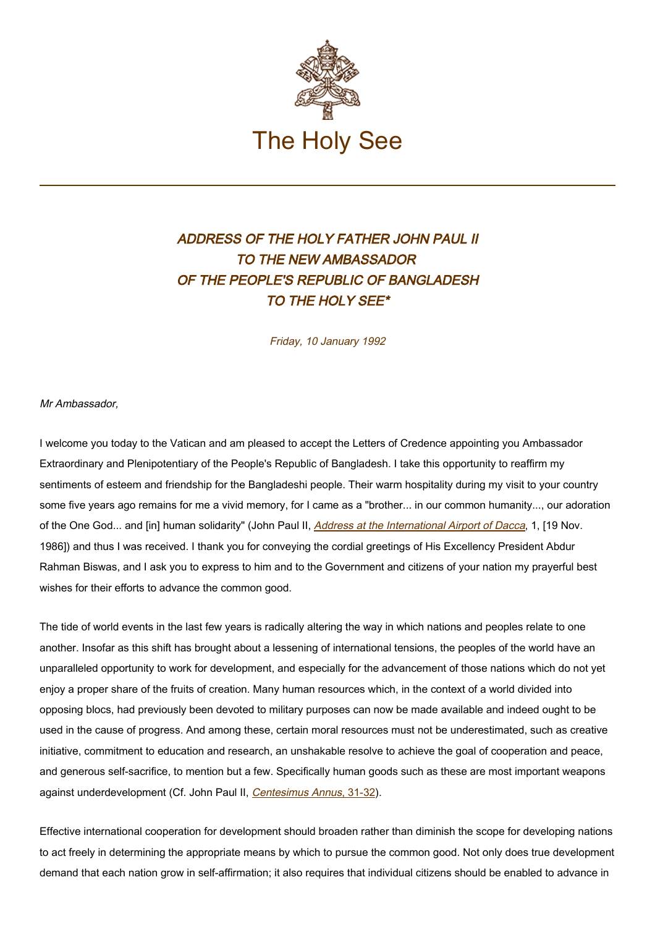

## ADDRESS OF THE HOLY FATHER JOHN PAUL II TO THE NEW AMBASSADOR OF THE PEOPLE'S REPUBLIC OF BANGLADESH TO THE HOLY SEE\*

Friday, 10 January 1992

## Mr Ambassador,

I welcome you today to the Vatican and am pleased to accept the Letters of Credence appointing you Ambassador Extraordinary and Plenipotentiary of the People's Republic of Bangladesh. I take this opportunity to reaffirm my sentiments of esteem and friendship for the Bangladeshi people. Their warm hospitality during my visit to your country some five years ago remains for me a vivid memory, for I came as a "brother... in our common humanity..., our adoration of the One God... and [in] human solidarity" (John Paul II, *[Address at the International Airport of Dacca](https://www.vatican.va/content/john-paul-ii/en/speeches/1986/november/documents/hf_jp-ii_spe_19861119_arrivo-dacca-bangladesh.html)*, 1, [19 Nov. 1986]) and thus I was received. I thank you for conveying the cordial greetings of His Excellency President Abdur Rahman Biswas, and I ask you to express to him and to the Government and citizens of your nation my prayerful best wishes for their efforts to advance the common good.

The tide of world events in the last few years is radically altering the way in which nations and peoples relate to one another. Insofar as this shift has brought about a lessening of international tensions, the peoples of the world have an unparalleled opportunity to work for development, and especially for the advancement of those nations which do not yet enjoy a proper share of the fruits of creation. Many human resources which, in the context of a world divided into opposing blocs, had previously been devoted to military purposes can now be made available and indeed ought to be used in the cause of progress. And among these, certain moral resources must not be underestimated, such as creative initiative, commitment to education and research, an unshakable resolve to achieve the goal of cooperation and peace, and generous self-sacrifice, to mention but a few. Specifically human goods such as these are most important weapons against underdevelopment (Cf. John Paul II, Centesimus Annus[, 31-32\)](http://www.vatican.va/edocs/ENG0214/__P6.HTM).

Effective international cooperation for development should broaden rather than diminish the scope for developing nations to act freely in determining the appropriate means by which to pursue the common good. Not only does true development demand that each nation grow in self-affirmation; it also requires that individual citizens should be enabled to advance in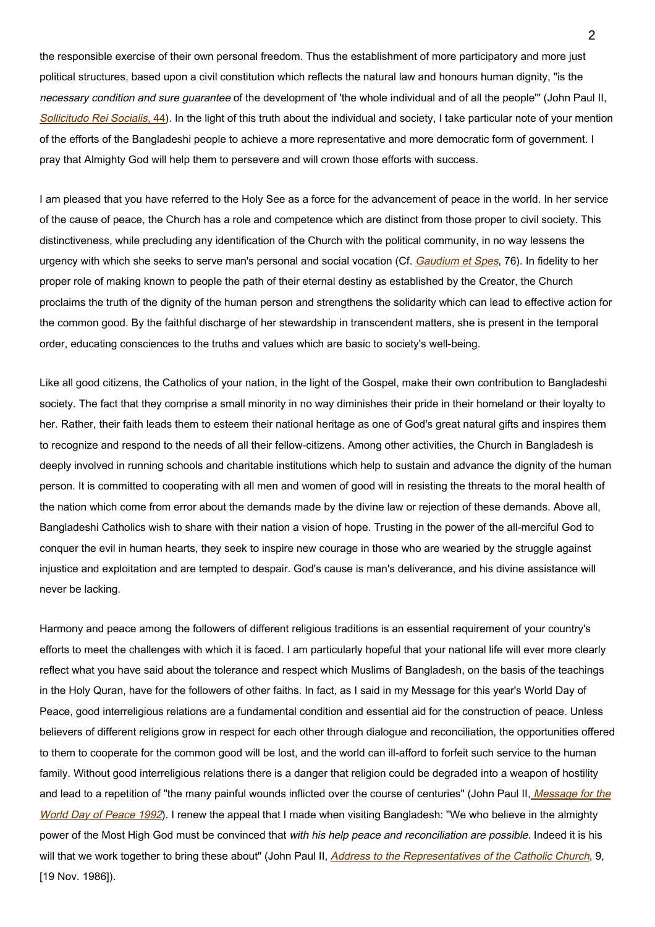the responsible exercise of their own personal freedom. Thus the establishment of more participatory and more just political structures, based upon a civil constitution which reflects the natural law and honours human dignity, "is the necessary condition and sure guarantee of the development of 'the whole individual and of all the people'" (John Paul II, Sollicitudo Rei Socialis[, 44](http://www.vatican.va/edocs/ENG0223/__P7.HTM)). In the light of this truth about the individual and society, I take particular note of your mention of the efforts of the Bangladeshi people to achieve a more representative and more democratic form of government. I pray that Almighty God will help them to persevere and will crown those efforts with success.

I am pleased that you have referred to the Holy See as a force for the advancement of peace in the world. In her service of the cause of peace, the Church has a role and competence which are distinct from those proper to civil society. This distinctiveness, while precluding any identification of the Church with the political community, in no way lessens the urgency with which she seeks to serve man's personal and social vocation (Cf. [Gaudium et Spes](http://localhost/archive/hist_councils/ii_vatican_council/documents/vat-ii_cons_19651207_gaudium-et-spes_en.html), 76). In fidelity to her proper role of making known to people the path of their eternal destiny as established by the Creator, the Church proclaims the truth of the dignity of the human person and strengthens the solidarity which can lead to effective action for the common good. By the faithful discharge of her stewardship in transcendent matters, she is present in the temporal order, educating consciences to the truths and values which are basic to society's well-being.

Like all good citizens, the Catholics of your nation, in the light of the Gospel, make their own contribution to Bangladeshi society. The fact that they comprise a small minority in no way diminishes their pride in their homeland or their loyalty to her. Rather, their faith leads them to esteem their national heritage as one of God's great natural gifts and inspires them to recognize and respond to the needs of all their fellow-citizens. Among other activities, the Church in Bangladesh is deeply involved in running schools and charitable institutions which help to sustain and advance the dignity of the human person. It is committed to cooperating with all men and women of good will in resisting the threats to the moral health of the nation which come from error about the demands made by the divine law or rejection of these demands. Above all, Bangladeshi Catholics wish to share with their nation a vision of hope. Trusting in the power of the all-merciful God to conquer the evil in human hearts, they seek to inspire new courage in those who are wearied by the struggle against injustice and exploitation and are tempted to despair. God's cause is man's deliverance, and his divine assistance will never be lacking.

Harmony and peace among the followers of different religious traditions is an essential requirement of your country's efforts to meet the challenges with which it is faced. I am particularly hopeful that your national life will ever more clearly reflect what you have said about the tolerance and respect which Muslims of Bangladesh, on the basis of the teachings in the Holy Quran, have for the followers of other faiths. In fact, as I said in my Message for this year's World Day of Peace, good interreligious relations are a fundamental condition and essential aid for the construction of peace. Unless believers of different religions grow in respect for each other through dialogue and reconciliation, the opportunities offered to them to cooperate for the common good will be lost, and the world can ill-afford to forfeit such service to the human family. Without good interreligious relations there is a danger that religion could be degraded into a weapon of hostility and lead to a repetition of "the many painful wounds inflicted over the course of centuries" (John Paul II[,](https://www.vatican.va/content/john-paul-ii/en/messages/peace/documents/hf_jp-ii_mes_08121991_xxv-world-day-for-peace.html) Message for the World Day of Peace 1992). I renew the appeal that I made when visiting Bangladesh: "We who believe in the almighty power of the Most High God must be convinced that with his help peace and reconciliation are possible. Indeed it is his will that we work together to bring these about" (John Paul II, [Address to the Representatives of the Catholic Church](https://www.vatican.va/content/john-paul-ii/en/speeches/1986/november/documents/hf_jp-ii_spe_19861119_dacca-bangladesh-chiesa-cattolica.html), 9, [19 Nov. 1986]).